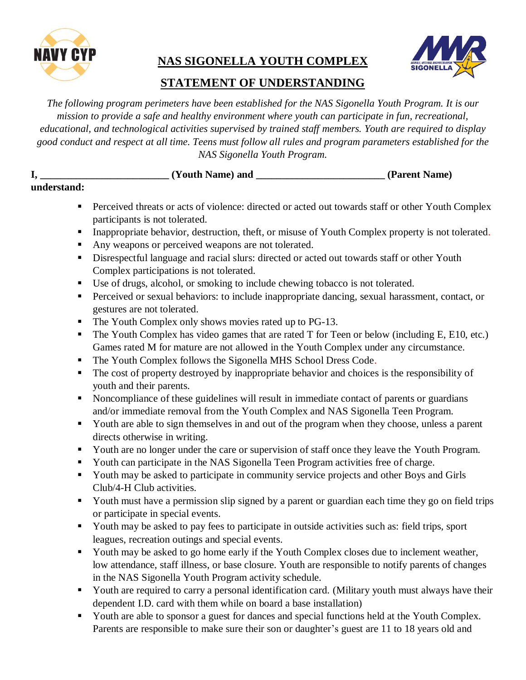

## **NAS SIGONELLA YOUTH COMPLEX**



## **STATEMENT OF UNDERSTANDING**

*The following program perimeters have been established for the NAS Sigonella Youth Program. It is our mission to provide a safe and healthy environment where youth can participate in fun, recreational, educational, and technological activities supervised by trained staff members. Youth are required to display good conduct and respect at all time. Teens must follow all rules and program parameters established for the NAS Sigonella Youth Program.* 

**I, \_\_\_\_\_\_\_\_\_\_\_\_\_\_\_\_\_\_\_\_\_\_\_\_\_ (Youth Name) and \_\_\_\_\_\_\_\_\_\_\_\_\_\_\_\_\_\_\_\_\_\_\_\_\_ (Parent Name)** 

## **understand:**

- **Perceived threats or acts of violence: directed or acted out towards staff or other Youth Complex** participants is not tolerated.
- **Inappropriate behavior, destruction, theft, or misuse of Youth Complex property is not tolerated.**
- Any weapons or perceived weapons are not tolerated.
- Disrespectful language and racial slurs: directed or acted out towards staff or other Youth Complex participations is not tolerated.
- Use of drugs, alcohol, or smoking to include chewing tobacco is not tolerated.
- **Perceived or sexual behaviors: to include inappropriate dancing, sexual harassment, contact, or** gestures are not tolerated.
- The Youth Complex only shows movies rated up to PG-13.
- The Youth Complex has video games that are rated T for Teen or below (including E, E10, etc.) Games rated M for mature are not allowed in the Youth Complex under any circumstance.
- The Youth Complex follows the Sigonella MHS School Dress Code.
- The cost of property destroyed by inappropriate behavior and choices is the responsibility of youth and their parents.
- Noncompliance of these guidelines will result in immediate contact of parents or guardians and/or immediate removal from the Youth Complex and NAS Sigonella Teen Program.
- Youth are able to sign themselves in and out of the program when they choose, unless a parent directs otherwise in writing.
- Youth are no longer under the care or supervision of staff once they leave the Youth Program.
- Youth can participate in the NAS Sigonella Teen Program activities free of charge.
- Youth may be asked to participate in community service projects and other Boys and Girls Club/4-H Club activities.
- Youth must have a permission slip signed by a parent or guardian each time they go on field trips or participate in special events.
- Youth may be asked to pay fees to participate in outside activities such as: field trips, sport leagues, recreation outings and special events.
- Youth may be asked to go home early if the Youth Complex closes due to inclement weather, low attendance, staff illness, or base closure. Youth are responsible to notify parents of changes in the NAS Sigonella Youth Program activity schedule.
- Youth are required to carry a personal identification card. (Military youth must always have their dependent I.D. card with them while on board a base installation)
- Youth are able to sponsor a guest for dances and special functions held at the Youth Complex. Parents are responsible to make sure their son or daughter's guest are 11 to 18 years old and